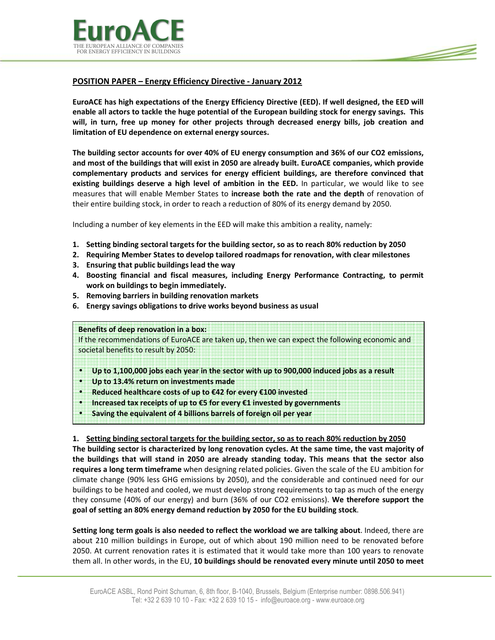



# POSITION PAPER – Energy Efficiency Directive - January 2012

EuroACE has high expectations of the Energy Efficiency Directive (EED). If well designed, the EED will enable all actors to tackle the huge potential of the European building stock for energy savings. This will, in turn, free up money for other projects through decreased energy bills, job creation and limitation of EU dependence on external energy sources.

The building sector accounts for over 40% of EU energy consumption and 36% of our CO2 emissions, and most of the buildings that will exist in 2050 are already built. EuroACE companies, which provide complementary products and services for energy efficient buildings, are therefore convinced that existing buildings deserve a high level of ambition in the EED. In particular, we would like to see measures that will enable Member States to increase both the rate and the depth of renovation of their entire building stock, in order to reach a reduction of 80% of its energy demand by 2050.

Including a number of key elements in the EED will make this ambition a reality, namely:

- 1. Setting binding sectoral targets for the building sector, so as to reach 80% reduction by 2050
- 2. Requiring Member States to develop tailored roadmaps for renovation, with clear milestones
- 3. Ensuring that public buildings lead the way
- 4. Boosting financial and fiscal measures, including Energy Performance Contracting, to permit work on buildings to begin immediately.
- 5. Removing barriers in building renovation markets
- 6. Energy savings obligations to drive works beyond business as usual

Benefits of deep renovation in a box:

If the recommendations of EuroACE are taken up, then we can expect the following economic and societal benefits to result by 2050:

- Up to 1,100,000 jobs each year in the sector with up to 900,000 induced jobs as a result
- Up to 13.4% return on investments made

•

- Reduced healthcare costs of up to €42 for every €100 invested
- Increased tax receipts of up to  $\epsilon$ 5 for every  $\epsilon$ 1 invested by governments
- Saving the equivalent of 4 billions barrels of foreign oil per year

## 1. Setting binding sectoral targets for the building sector, so as to reach 80% reduction by 2050

The building sector is characterized by long renovation cycles. At the same time, the vast majority of the buildings that will stand in 2050 are already standing today. This means that the sector also requires a long term timeframe when designing related policies. Given the scale of the EU ambition for climate change (90% less GHG emissions by 2050), and the considerable and continued need for our buildings to be heated and cooled, we must develop strong requirements to tap as much of the energy they consume (40% of our energy) and burn (36% of our CO2 emissions). We therefore support the goal of setting an 80% energy demand reduction by 2050 for the EU building stock.

Setting long term goals is also needed to reflect the workload we are talking about. Indeed, there are about 210 million buildings in Europe, out of which about 190 million need to be renovated before 2050. At current renovation rates it is estimated that it would take more than 100 years to renovate them all. In other words, in the EU, 10 buildings should be renovated every minute until 2050 to meet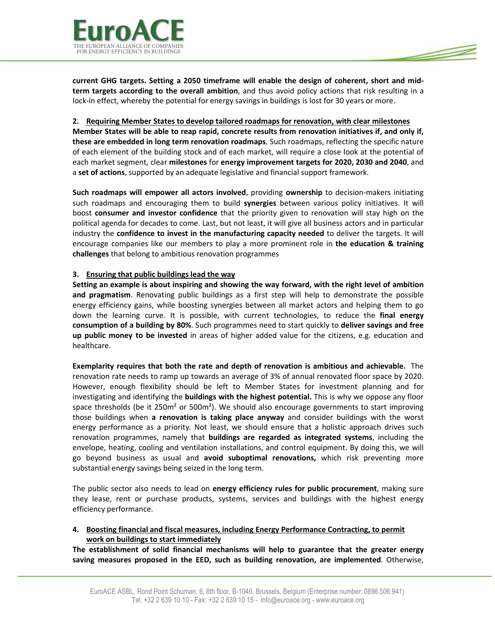

current GHG targets. Setting a 2050 timeframe will enable the design of coherent, short and midterm targets according to the overall ambition, and thus avoid policy actions that risk resulting in a lock-in effect, whereby the potential for energy savings in buildings is lost for 30 years or more.

<u> S</u>

### 2. Requiring Member States to develop tailored roadmaps for renovation, with clear milestones

Member States will be able to reap rapid, concrete results from renovation initiatives if, and only if, these are embedded in long term renovation roadmaps. Such roadmaps, reflecting the specific nature of each element of the building stock and of each market, will require a close look at the potential of each market segment, clear milestones for energy improvement targets for 2020, 2030 and 2040, and a set of actions, supported by an adequate legislative and financial support framework.

Such roadmaps will empower all actors involved, providing ownership to decision-makers initiating such roadmaps and encouraging them to build synergies between various policy initiatives. It will boost consumer and investor confidence that the priority given to renovation will stay high on the political agenda for decades to come. Last, but not least, it will give all business actors and in particular industry the confidence to invest in the manufacturing capacity needed to deliver the targets. It will encourage companies like our members to play a more prominent role in the education & training challenges that belong to ambitious renovation programmes

## 3. Ensuring that public buildings lead the way

Setting an example is about inspiring and showing the way forward, with the right level of ambition and pragmatism. Renovating public buildings as a first step will help to demonstrate the possible energy efficiency gains, while boosting synergies between all market actors and helping them to go down the learning curve. It is possible, with current technologies, to reduce the final energy consumption of a building by 80%. Such programmes need to start quickly to deliver savings and free up public money to be invested in areas of higher added value for the citizens, e.g. education and healthcare.

Exemplarity requires that both the rate and depth of renovation is ambitious and achievable. The renovation rate needs to ramp up towards an average of 3% of annual renovated floor space by 2020. However, enough flexibility should be left to Member States for investment planning and for investigating and identifying the **buildings with the highest potential.** This is why we oppose any floor space thresholds (be it 250m<sup>2</sup> or 500m<sup>2</sup>). We should also encourage governments to start improving those buildings when a renovation is taking place anyway and consider buildings with the worst energy performance as a priority. Not least, we should ensure that a holistic approach drives such renovation programmes, namely that **buildings are regarded as integrated systems**, including the envelope, heating, cooling and ventilation installations, and control equipment. By doing this, we will go beyond business as usual and avoid suboptimal renovations, which risk preventing more substantial energy savings being seized in the long term.

The public sector also needs to lead on energy efficiency rules for public procurement, making sure they lease, rent or purchase products, systems, services and buildings with the highest energy efficiency performance.

4. Boosting financial and fiscal measures, including Energy Performance Contracting, to permit work on buildings to start immediately

The establishment of solid financial mechanisms will help to guarantee that the greater energy saving measures proposed in the EED, such as building renovation, are implemented. Otherwise,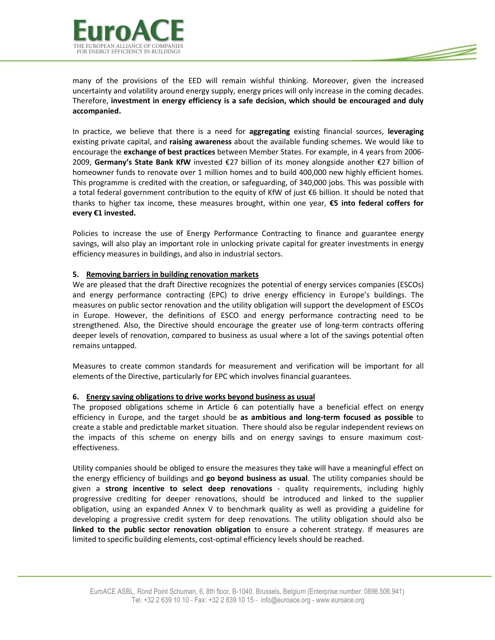



many of the provisions of the EED will remain wishful thinking. Moreover, given the increased uncertainty and volatility around energy supply, energy prices will only increase in the coming decades. Therefore, investment in energy efficiency is a safe decision, which should be encouraged and duly accompanied.

In practice, we believe that there is a need for **aggregating** existing financial sources, leveraging existing private capital, and raising awareness about the available funding schemes. We would like to encourage the exchange of best practices between Member States. For example, in 4 years from 2006-2009, Germany's State Bank KfW invested €27 billion of its money alongside another €27 billion of homeowner funds to renovate over 1 million homes and to build 400,000 new highly efficient homes. This programme is credited with the creation, or safeguarding, of 340,000 jobs. This was possible with a total federal government contribution to the equity of KfW of just €6 billion. It should be noted that thanks to higher tax income, these measures brought, within one year, €5 into federal coffers for every €1 invested.

Policies to increase the use of Energy Performance Contracting to finance and guarantee energy savings, will also play an important role in unlocking private capital for greater investments in energy efficiency measures in buildings, and also in industrial sectors.

## 5. Removing barriers in building renovation markets

We are pleased that the draft Directive recognizes the potential of energy services companies (ESCOs) and energy performance contracting (EPC) to drive energy efficiency in Europe's buildings. The measures on public sector renovation and the utility obligation will support the development of ESCOs in Europe. However, the definitions of ESCO and energy performance contracting need to be strengthened. Also, the Directive should encourage the greater use of long-term contracts offering deeper levels of renovation, compared to business as usual where a lot of the savings potential often remains untapped.

Measures to create common standards for measurement and verification will be important for all elements of the Directive, particularly for EPC which involves financial guarantees.

#### 6. Energy saving obligations to drive works beyond business as usual

The proposed obligations scheme in Article 6 can potentially have a beneficial effect on energy efficiency in Europe, and the target should be as ambitious and long-term focused as possible to create a stable and predictable market situation. There should also be regular independent reviews on the impacts of this scheme on energy bills and on energy savings to ensure maximum costeffectiveness.

Utility companies should be obliged to ensure the measures they take will have a meaningful effect on the energy efficiency of buildings and go beyond business as usual. The utility companies should be given a strong incentive to select deep renovations - quality requirements, including highly progressive crediting for deeper renovations, should be introduced and linked to the supplier obligation, using an expanded Annex V to benchmark quality as well as providing a guideline for developing a progressive credit system for deep renovations. The utility obligation should also be linked to the public sector renovation obligation to ensure a coherent strategy. If measures are limited to specific building elements, cost-optimal efficiency levels should be reached.